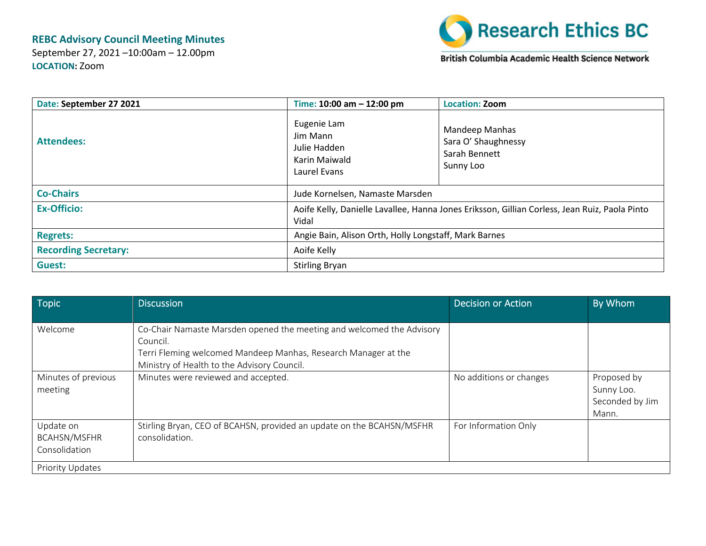## **REBC Advisory Council Meeting Minutes**

September 27, 2021 –10:00am – 12.00pm **LOCATION:** Zoom



British Columbia Academic Health Science Network

| Date: September 27 2021     | Time: $10:00$ am $- 12:00$ pm                                                                          | <b>Location: Zoom</b>                                               |
|-----------------------------|--------------------------------------------------------------------------------------------------------|---------------------------------------------------------------------|
| <b>Attendees:</b>           | Eugenie Lam<br>Jim Mann<br>Julie Hadden<br>Karin Maiwald<br>Laurel Evans                               | Mandeep Manhas<br>Sara O' Shaughnessy<br>Sarah Bennett<br>Sunny Loo |
| <b>Co-Chairs</b>            | Jude Kornelsen, Namaste Marsden                                                                        |                                                                     |
| <b>Ex-Officio:</b>          | Aoife Kelly, Danielle Lavallee, Hanna Jones Eriksson, Gillian Corless, Jean Ruiz, Paola Pinto<br>Vidal |                                                                     |
| <b>Regrets:</b>             | Angie Bain, Alison Orth, Holly Longstaff, Mark Barnes                                                  |                                                                     |
| <b>Recording Secretary:</b> | Aoife Kelly                                                                                            |                                                                     |
| <b>Guest:</b>               | <b>Stirling Bryan</b>                                                                                  |                                                                     |

| Topic                                             | <b>Discussion</b>                                                                                                                                                                                  | <b>Decision or Action</b> | By Whom                                               |
|---------------------------------------------------|----------------------------------------------------------------------------------------------------------------------------------------------------------------------------------------------------|---------------------------|-------------------------------------------------------|
|                                                   |                                                                                                                                                                                                    |                           |                                                       |
| Welcome                                           | Co-Chair Namaste Marsden opened the meeting and welcomed the Advisory<br>Council.<br>Terri Fleming welcomed Mandeep Manhas, Research Manager at the<br>Ministry of Health to the Advisory Council. |                           |                                                       |
| Minutes of previous<br>meeting                    | Minutes were reviewed and accepted.                                                                                                                                                                | No additions or changes   | Proposed by<br>Sunny Loo.<br>Seconded by Jim<br>Mann. |
| Update on<br><b>BCAHSN/MSFHR</b><br>Consolidation | Stirling Bryan, CEO of BCAHSN, provided an update on the BCAHSN/MSFHR<br>consolidation.                                                                                                            | For Information Only      |                                                       |
| <b>Priority Updates</b>                           |                                                                                                                                                                                                    |                           |                                                       |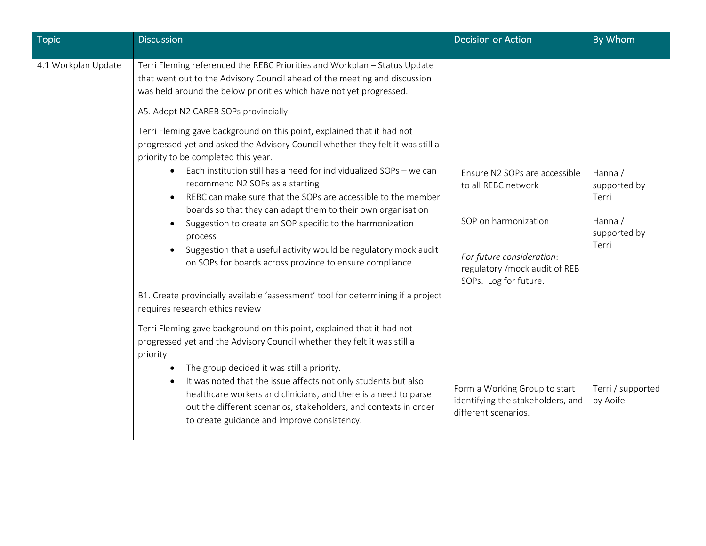| <b>Topic</b>        | <b>Discussion</b>                                                                                                                                                                                                                                                                                                                                                                                                                                                                                                                                                                                                                                             | <b>Decision or Action</b>                                                                                                                                            | By Whom                                                              |
|---------------------|---------------------------------------------------------------------------------------------------------------------------------------------------------------------------------------------------------------------------------------------------------------------------------------------------------------------------------------------------------------------------------------------------------------------------------------------------------------------------------------------------------------------------------------------------------------------------------------------------------------------------------------------------------------|----------------------------------------------------------------------------------------------------------------------------------------------------------------------|----------------------------------------------------------------------|
| 4.1 Workplan Update | Terri Fleming referenced the REBC Priorities and Workplan - Status Update<br>that went out to the Advisory Council ahead of the meeting and discussion<br>was held around the below priorities which have not yet progressed.<br>A5. Adopt N2 CAREB SOPs provincially                                                                                                                                                                                                                                                                                                                                                                                         |                                                                                                                                                                      |                                                                      |
|                     | Terri Fleming gave background on this point, explained that it had not<br>progressed yet and asked the Advisory Council whether they felt it was still a<br>priority to be completed this year.<br>Each institution still has a need for individualized SOPs - we can<br>recommend N2 SOPs as a starting<br>REBC can make sure that the SOPs are accessible to the member<br>boards so that they can adapt them to their own organisation<br>Suggestion to create an SOP specific to the harmonization<br>process<br>Suggestion that a useful activity would be regulatory mock audit<br>$\bullet$<br>on SOPs for boards across province to ensure compliance | Ensure N2 SOPs are accessible<br>to all REBC network<br>SOP on harmonization<br>For future consideration:<br>regulatory / mock audit of REB<br>SOPs. Log for future. | Hanna /<br>supported by<br>Terri<br>Hanna /<br>supported by<br>Terri |
|                     | B1. Create provincially available 'assessment' tool for determining if a project<br>requires research ethics review                                                                                                                                                                                                                                                                                                                                                                                                                                                                                                                                           |                                                                                                                                                                      |                                                                      |
|                     | Terri Fleming gave background on this point, explained that it had not<br>progressed yet and the Advisory Council whether they felt it was still a<br>priority.<br>The group decided it was still a priority.                                                                                                                                                                                                                                                                                                                                                                                                                                                 |                                                                                                                                                                      |                                                                      |
|                     | It was noted that the issue affects not only students but also<br>healthcare workers and clinicians, and there is a need to parse<br>out the different scenarios, stakeholders, and contexts in order<br>to create guidance and improve consistency.                                                                                                                                                                                                                                                                                                                                                                                                          | Form a Working Group to start<br>identifying the stakeholders, and<br>different scenarios.                                                                           | Terri / supported<br>by Aoife                                        |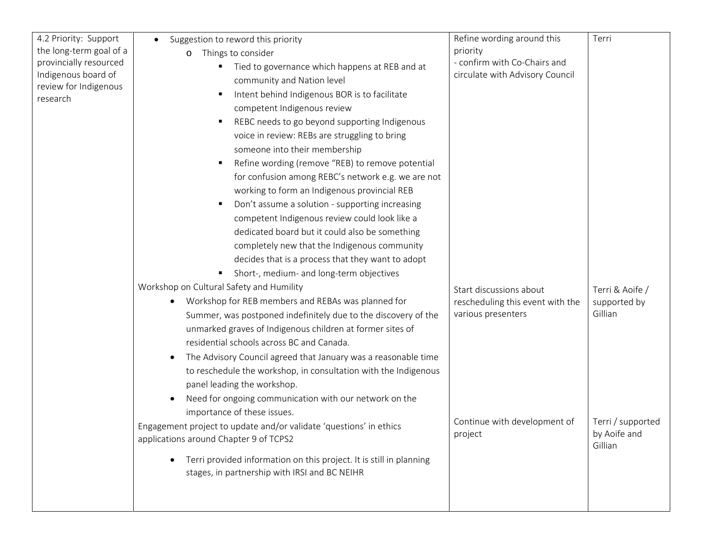| 4.2 Priority: Support   | Suggestion to reword this priority                                                                                                | Refine wording around this       | Terri             |
|-------------------------|-----------------------------------------------------------------------------------------------------------------------------------|----------------------------------|-------------------|
| the long-term goal of a | Things to consider<br>O                                                                                                           | priority                         |                   |
| provincially resourced  | Tied to governance which happens at REB and at                                                                                    | - confirm with Co-Chairs and     |                   |
| Indigenous board of     | community and Nation level                                                                                                        | circulate with Advisory Council  |                   |
| review for Indigenous   | Intent behind Indigenous BOR is to facilitate<br>$\blacksquare$                                                                   |                                  |                   |
| research                | competent Indigenous review                                                                                                       |                                  |                   |
|                         | REBC needs to go beyond supporting Indigenous                                                                                     |                                  |                   |
|                         | voice in review: REBs are struggling to bring                                                                                     |                                  |                   |
|                         | someone into their membership                                                                                                     |                                  |                   |
|                         | Refine wording (remove "REB) to remove potential<br>٠                                                                             |                                  |                   |
|                         | for confusion among REBC's network e.g. we are not                                                                                |                                  |                   |
|                         | working to form an Indigenous provincial REB                                                                                      |                                  |                   |
|                         | Don't assume a solution - supporting increasing                                                                                   |                                  |                   |
|                         | competent Indigenous review could look like a                                                                                     |                                  |                   |
|                         | dedicated board but it could also be something                                                                                    |                                  |                   |
|                         | completely new that the Indigenous community                                                                                      |                                  |                   |
|                         | decides that is a process that they want to adopt                                                                                 |                                  |                   |
|                         | Short-, medium- and long-term objectives                                                                                          |                                  |                   |
|                         | Workshop on Cultural Safety and Humility                                                                                          | Start discussions about          | Terri & Aoife /   |
|                         | Workshop for REB members and REBAs was planned for<br>٠                                                                           | rescheduling this event with the | supported by      |
|                         | Summer, was postponed indefinitely due to the discovery of the                                                                    | various presenters               | Gillian           |
|                         | unmarked graves of Indigenous children at former sites of                                                                         |                                  |                   |
|                         | residential schools across BC and Canada.                                                                                         |                                  |                   |
|                         | The Advisory Council agreed that January was a reasonable time<br>٠                                                               |                                  |                   |
|                         | to reschedule the workshop, in consultation with the Indigenous                                                                   |                                  |                   |
|                         | panel leading the workshop.                                                                                                       |                                  |                   |
|                         | Need for ongoing communication with our network on the                                                                            |                                  |                   |
|                         | importance of these issues.                                                                                                       |                                  |                   |
|                         | Engagement project to update and/or validate 'questions' in ethics                                                                | Continue with development of     | Terri / supported |
|                         | applications around Chapter 9 of TCPS2                                                                                            | project                          | by Aoife and      |
|                         |                                                                                                                                   |                                  | Gillian           |
|                         | Terri provided information on this project. It is still in planning<br>$\bullet$<br>stages, in partnership with IRSI and BC NEIHR |                                  |                   |
|                         |                                                                                                                                   |                                  |                   |
|                         |                                                                                                                                   |                                  |                   |
|                         |                                                                                                                                   |                                  |                   |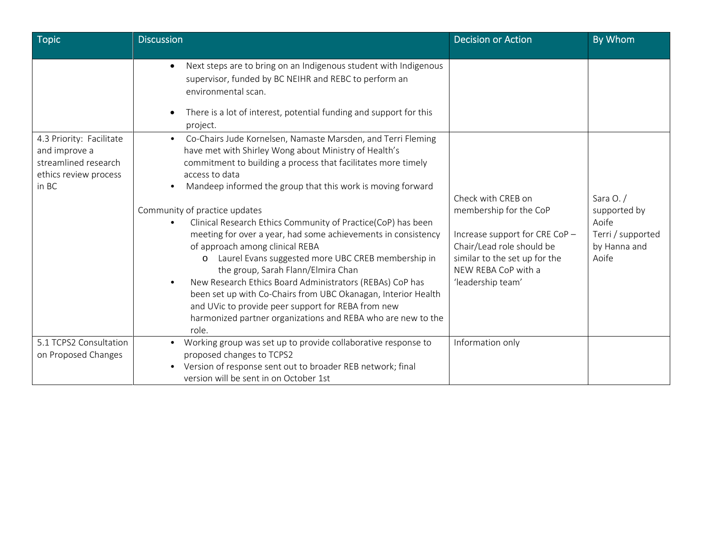| <b>Topic</b>                                                                                        | <b>Discussion</b>                                                                                                                                                                                                                                                                                                                                                                                                                                                                                                                                                                                                                                                                                                                                                                                                                                                                                   | <b>Decision or Action</b>                                                                                                                                                                | By Whom                                                                            |
|-----------------------------------------------------------------------------------------------------|-----------------------------------------------------------------------------------------------------------------------------------------------------------------------------------------------------------------------------------------------------------------------------------------------------------------------------------------------------------------------------------------------------------------------------------------------------------------------------------------------------------------------------------------------------------------------------------------------------------------------------------------------------------------------------------------------------------------------------------------------------------------------------------------------------------------------------------------------------------------------------------------------------|------------------------------------------------------------------------------------------------------------------------------------------------------------------------------------------|------------------------------------------------------------------------------------|
|                                                                                                     | Next steps are to bring on an Indigenous student with Indigenous<br>$\bullet$<br>supervisor, funded by BC NEIHR and REBC to perform an<br>environmental scan.<br>There is a lot of interest, potential funding and support for this<br>$\bullet$<br>project.                                                                                                                                                                                                                                                                                                                                                                                                                                                                                                                                                                                                                                        |                                                                                                                                                                                          |                                                                                    |
| 4.3 Priority: Facilitate<br>and improve a<br>streamlined research<br>ethics review process<br>in BC | Co-Chairs Jude Kornelsen, Namaste Marsden, and Terri Fleming<br>$\bullet$<br>have met with Shirley Wong about Ministry of Health's<br>commitment to building a process that facilitates more timely<br>access to data<br>Mandeep informed the group that this work is moving forward<br>$\bullet$<br>Community of practice updates<br>Clinical Research Ethics Community of Practice(CoP) has been<br>$\bullet$<br>meeting for over a year, had some achievements in consistency<br>of approach among clinical REBA<br>Laurel Evans suggested more UBC CREB membership in<br>$\circ$<br>the group, Sarah Flann/Elmira Chan<br>New Research Ethics Board Administrators (REBAs) CoP has<br>$\bullet$<br>been set up with Co-Chairs from UBC Okanagan, Interior Health<br>and UVic to provide peer support for REBA from new<br>harmonized partner organizations and REBA who are new to the<br>role. | Check with CREB on<br>membership for the CoP<br>Increase support for CRE CoP -<br>Chair/Lead role should be<br>similar to the set up for the<br>NEW REBA CoP with a<br>'leadership team' | Sara $O. /$<br>supported by<br>Aoife<br>Terri / supported<br>by Hanna and<br>Aoife |
| 5.1 TCPS2 Consultation<br>on Proposed Changes                                                       | Working group was set up to provide collaborative response to<br>proposed changes to TCPS2<br>Version of response sent out to broader REB network; final<br>version will be sent in on October 1st                                                                                                                                                                                                                                                                                                                                                                                                                                                                                                                                                                                                                                                                                                  | Information only                                                                                                                                                                         |                                                                                    |